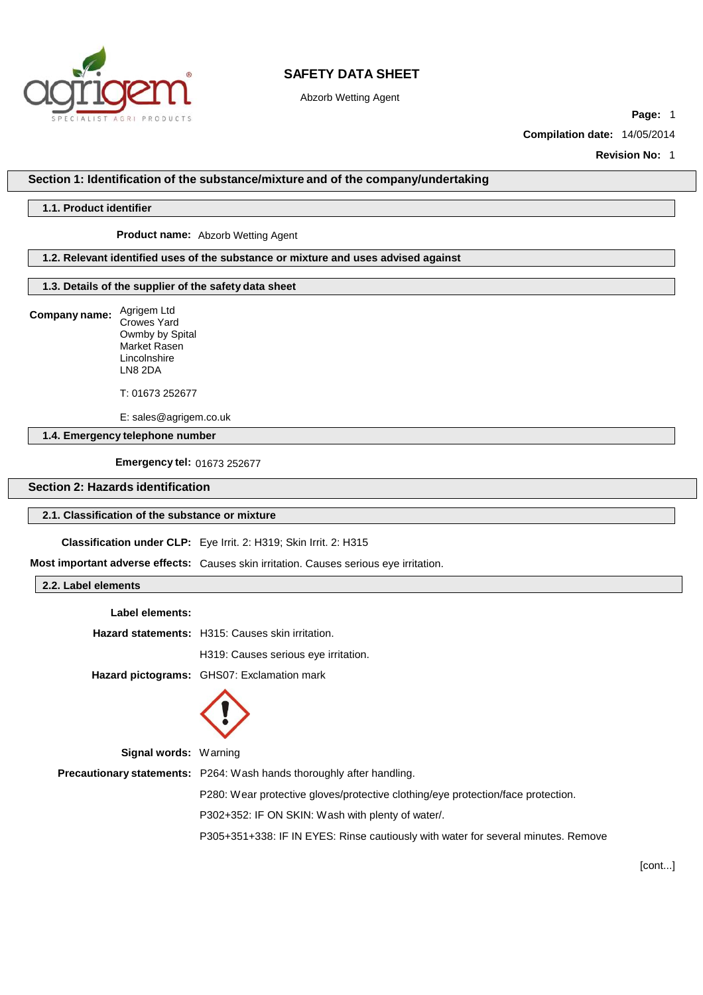

Abzorb Wetting Agent

**Page:** 1

**Compilation date:** 14/05/2014

**Revision No:** 1

### **Section 1: Identification of the substance/mixture and of the company/undertaking**

#### **1.1. Product identifier**

**Product name:** Abzorb Wetting Agent

#### **1.2. Relevant identified uses of the substance or mixture and uses advised against**

### **1.3. Details of the supplier of the safety data sheet**

**Company name:** Agrigem Ltd

Unives Tard<br>Owmby by Spital Standing by Space.<br>Market Rasen Lincolnshire LN8 2DA Crowes Yard

T: 01673 252677

**Email:** [info@amtechlimited.com](mailto:info@amtechlimited.com) E: sales@agrigem.co.uk

**1.4. Emergency telephone number**

**Emergency tel:** 01673 252677

## **Section 2: Hazards identification**

#### **2.1. Classification of the substance or mixture**

**Classification under CLP:** Eye Irrit. 2: H319; Skin Irrit. 2: H315

**Most important adverse effects:** Causes skin irritation. Causes serious eye irritation.

**2.2. Label elements**

| Label elements: |                                                         |
|-----------------|---------------------------------------------------------|
|                 | <b>Hazard statements:</b> H315: Causes skin irritation. |
|                 | H319: Causes serious eye irritation.                    |
|                 | <b>Hazard pictograms:</b> GHS07: Exclamation mark       |
|                 |                                                         |



**Signal words:** Warning **Precautionary statements:** P264: Wash hands thoroughly after handling. P280: Wear protective gloves/protective clothing/eye protection/face protection. P302+352: IF ON SKIN: Wash with plenty of water/. P305+351+338: IF IN EYES: Rinse cautiously with water for several minutes. Remove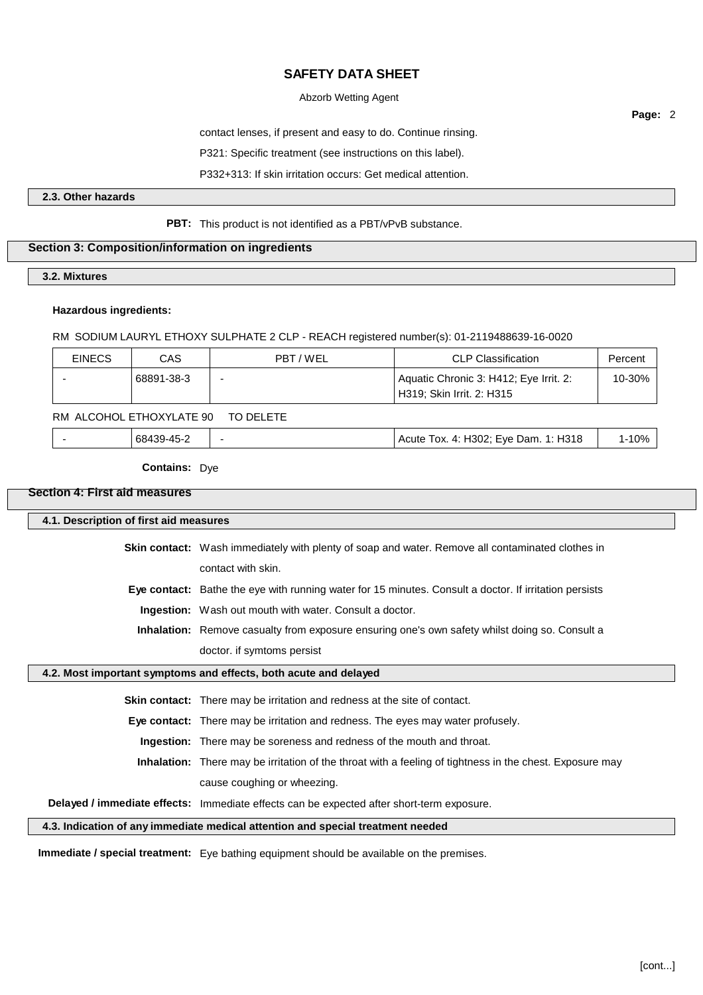## Abzorb Wetting Agent

contact lenses, if present and easy to do. Continue rinsing.

P321: Specific treatment (see instructions on this label).

P332+313: If skin irritation occurs: Get medical attention.

### **2.3. Other hazards**

### **PBT:** This product is not identified as a PBT/vPvB substance.

#### **Section 3: Composition/information on ingredients**

**3.2. Mixtures**

#### **Hazardous ingredients:**

RM SODIUM LAURYL ETHOXY SULPHATE 2 CLP - REACH registered number(s): 01-2119488639-16-0020

| <b>EINECS</b> | CAS        | PBT/WEL | <b>CLP Classification</b>                                           | Percent |
|---------------|------------|---------|---------------------------------------------------------------------|---------|
|               | 68891-38-3 | -       | Aquatic Chronic 3: H412; Eye Irrit. 2:<br>H319; Skin Irrit. 2: H315 | 10-30%  |

### RM ALCOHOL ETHOXYLATE 90 TO DELETE

| 68439-45-2 | Acute Tox. 4: H302; Eye Dam. 1: H318 | 10% |
|------------|--------------------------------------|-----|
|            |                                      |     |

**Contains:** Dye

### **Section 4: First aid measures**

#### **4.1. Description of first aid measures**

**Skin contact:** Wash immediately with plenty of soap and water. Remove all contaminated clothes in contact with skin.

**Eye contact:** Bathe the eye with running water for 15 minutes. Consult a doctor. If irritation persists

**Ingestion:** Wash out mouth with water. Consult a doctor.

**Inhalation:** Remove casualty from exposure ensuring one's own safety whilst doing so. Consult a doctor. if symtoms persist

#### **4.2. Most important symptoms and effects, both acute and delayed**

**Skin contact:** There may be irritation and redness at the site of contact.

**Eye contact:** There may be irritation and redness. The eyes may water profusely.

**Ingestion:** There may be soreness and redness of the mouth and throat.

**Inhalation:** There may be irritation of the throat with a feeling of tightness in the chest. Exposure may cause coughing or wheezing.

**Delayed / immediate effects:** Immediate effects can be expected after short-term exposure.

**4.3. Indication of any immediate medical attention and special treatment needed**

**Immediate / special treatment:** Eye bathing equipment should be available on the premises.

**Page:** 2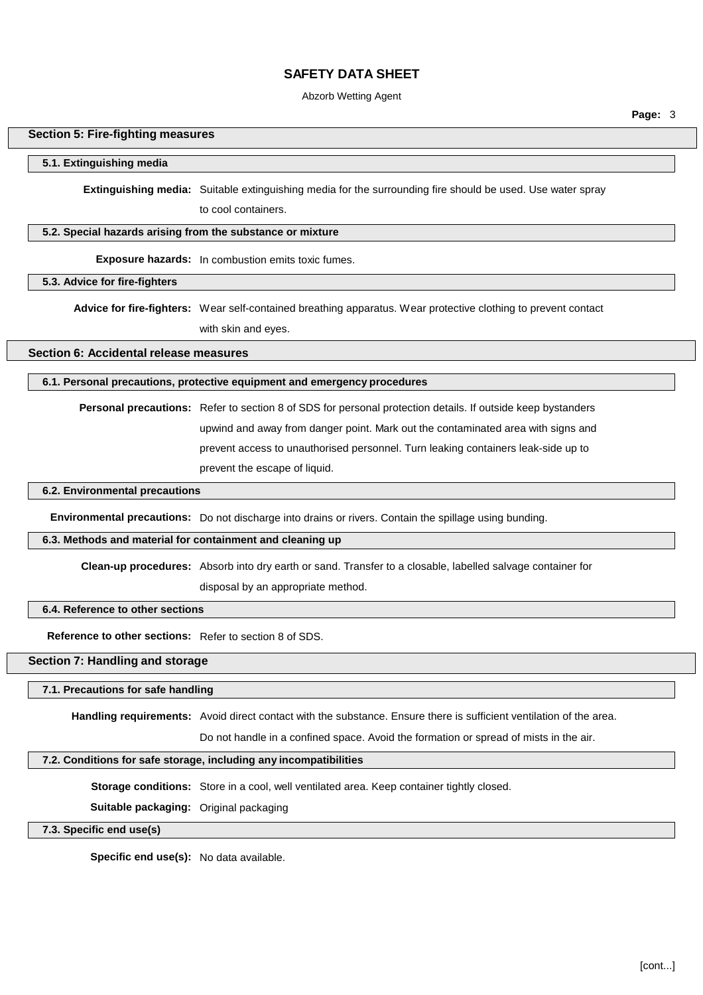### Abzorb Wetting Agent

**Page:** 3

#### **Section 5: Fire-fighting measures**

#### **5.1. Extinguishing media**

**Extinguishing media:** Suitable extinguishing media for the surrounding fire should be used. Use water spray

to cool containers.

## **5.2. Special hazards arising from the substance or mixture**

**Exposure hazards:** In combustion emits toxic fumes.

**5.3. Advice for fire-fighters**

**Advice for fire-fighters:** Wear self-contained breathing apparatus. Wear protective clothing to prevent contact with skin and eyes.

**Section 6: Accidental release measures**

### **6.1. Personal precautions, protective equipment and emergency procedures**

**Personal precautions:** Refer to section 8 of SDS for personal protection details. If outside keep bystanders upwind and away from danger point. Mark out the contaminated area with signs and prevent access to unauthorised personnel. Turn leaking containers leak-side up to prevent the escape of liquid.

#### **6.2. Environmental precautions**

**Environmental precautions:** Do not discharge into drains or rivers. Contain the spillage using bunding.

#### **6.3. Methods and material for containment and cleaning up**

**Clean-up procedures:** Absorb into dry earth or sand. Transfer to a closable, labelled salvage container for

disposal by an appropriate method.

#### **6.4. Reference to other sections**

**Reference to other sections:** Refer to section 8 of SDS.

## **Section 7: Handling and storage**

#### **7.1. Precautions for safe handling**

**Handling requirements:** Avoid direct contact with the substance. Ensure there is sufficient ventilation of the area.

Do not handle in a confined space. Avoid the formation or spread of mists in the air.

## **7.2. Conditions for safe storage, including any incompatibilities**

**Storage conditions:** Store in a cool, well ventilated area. Keep container tightly closed.

**Suitable packaging:** Original packaging

**7.3. Specific end use(s)**

**Specific end use(s):** No data available.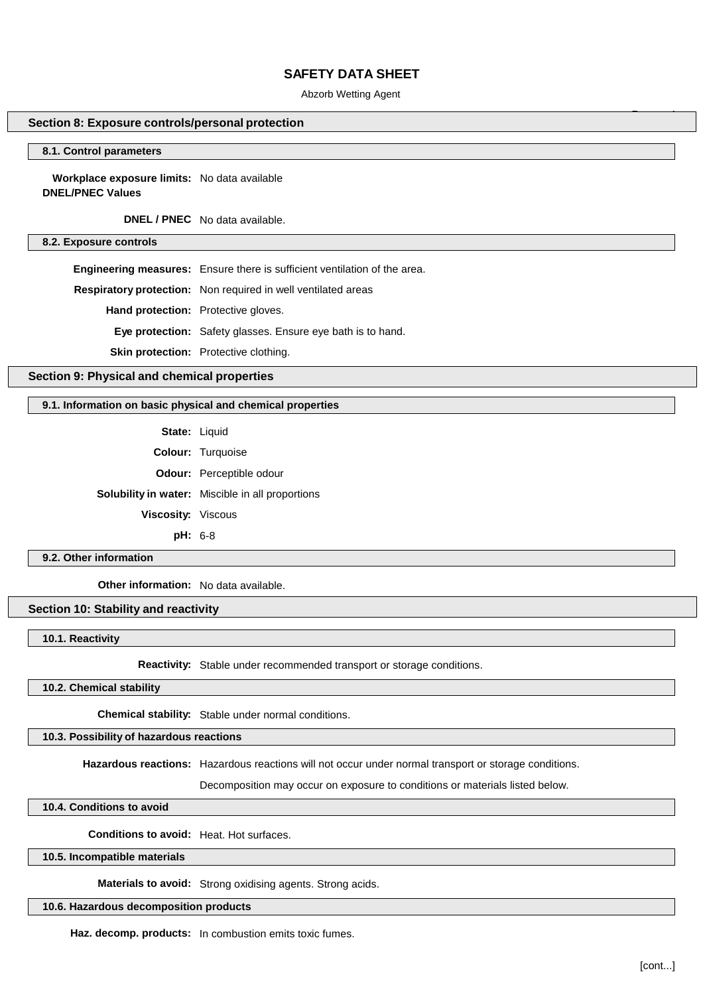Abzorb Wetting Agent

### **Section 8: Exposure controls/personal protection**

#### **8.1. Control parameters**

**Workplace exposure limits:** No data available **DNEL/PNEC Values**

**DNEL / PNEC** No data available.

**8.2. Exposure controls**

**Engineering measures:** Ensure there is sufficient ventilation of the area.

**Respiratory protection:** Non required in well ventilated areas

**Hand protection:** Protective gloves.

**Eye protection:** Safety glasses. Ensure eye bath is to hand.

**Skin protection:** Protective clothing.

## **Section 9: Physical and chemical properties**

#### **9.1. Information on basic physical and chemical properties**

**State:** Liquid **Colour:** Turquoise **Odour:** Perceptible odour **Solubility in water:** Miscible in all proportions **Viscosity:** Viscous **pH:** 6-8

### **9.2. Other information**

**Other information:** No data available.

## **Section 10: Stability and reactivity**

**10.1. Reactivity**

**Reactivity:** Stable under recommended transport or storage conditions.

### **10.2. Chemical stability**

**Chemical stability:** Stable under normal conditions.

## **10.3. Possibility of hazardous reactions**

**Hazardous reactions:** Hazardous reactions will not occur under normal transport or storage conditions.

Decomposition may occur on exposure to conditions or materials listed below.

**10.4. Conditions to avoid**

**Conditions to avoid:** Heat. Hot surfaces.

### **10.5. Incompatible materials**

**Materials to avoid:** Strong oxidising agents. Strong acids.

**10.6. Hazardous decomposition products**

**Haz. decomp. products:** In combustion emits toxic fumes.

**Page:** 4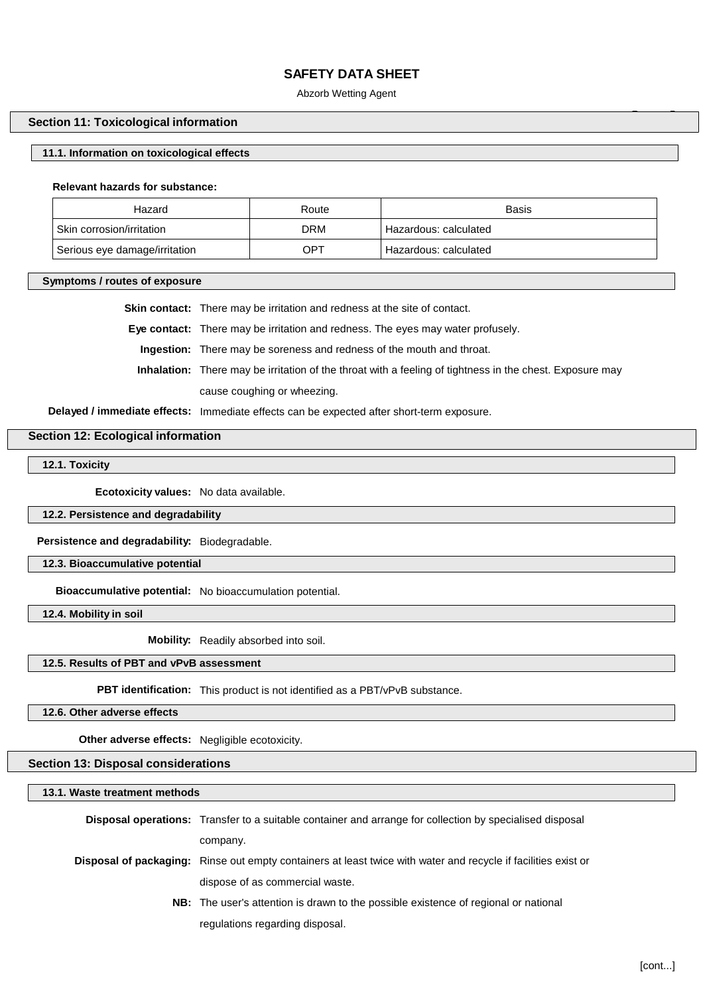Abzorb Wetting Agent

## **Section 11: Toxicological information**

### **11.1. Information on toxicological effects**

#### **Relevant hazards for substance:**

| Hazard                        | Route      | <b>Basis</b>          |
|-------------------------------|------------|-----------------------|
| Skin corrosion/irritation     | <b>DRM</b> | Hazardous: calculated |
| Serious eye damage/irritation | OPT        | Hazardous: calculated |

**Symptoms / routes of exposure**

**Skin contact:** There may be irritation and redness at the site of contact.

**Eye contact:** There may be irritation and redness. The eyes may water profusely.

**Ingestion:** There may be soreness and redness of the mouth and throat.

**Inhalation:** There may be irritation of the throat with a feeling of tightness in the chest. Exposure may cause coughing or wheezing.

**Delayed / immediate effects:** Immediate effects can be expected after short-term exposure.

## **Section 12: Ecological information**

**12.1. Toxicity**

**Ecotoxicity values:** No data available.

**12.2. Persistence and degradability**

**Persistence and degradability:** Biodegradable.

**12.3. Bioaccumulative potential**

**Bioaccumulative potential:** No bioaccumulation potential.

**12.4. Mobility in soil**

**Mobility:** Readily absorbed into soil.

### **12.5. Results of PBT and vPvB assessment**

**PBT identification:** This product is not identified as a PBT/vPvB substance.

**12.6. Other adverse effects**

**Other adverse effects:** Negligible ecotoxicity.

### **Section 13: Disposal considerations**

**13.1. Waste treatment methods**

**Disposal operations:** Transfer to a suitable container and arrange for collection by specialised disposal company. **Disposal of packaging:** Rinse out empty containers at least twice with water and recycle if facilities exist or dispose of as commercial waste. **NB:** The user's attention is drawn to the possible existence of regional or national regulations regarding disposal.

**Page:** 5